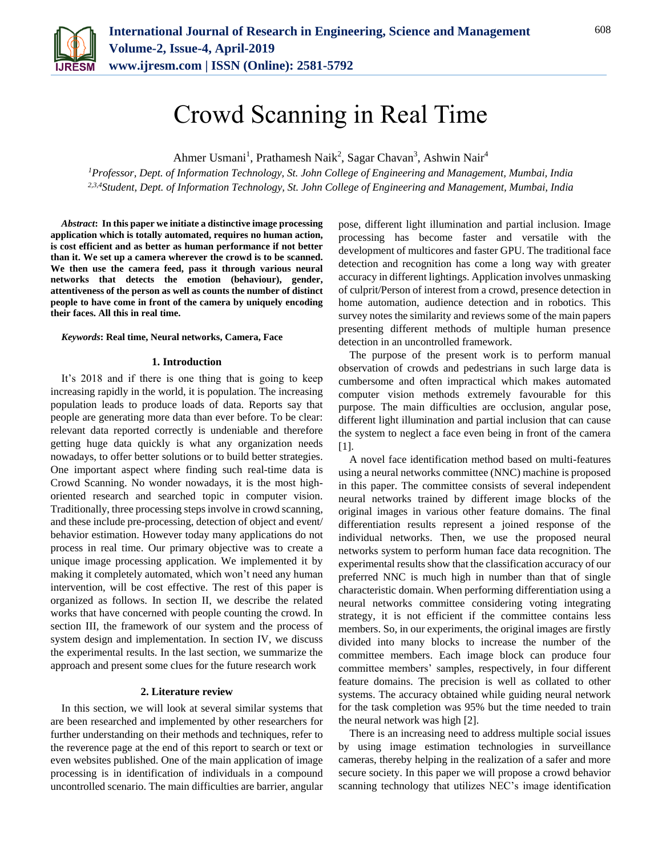

# Crowd Scanning in Real Time

Ahmer Usmani<sup>1</sup>, Prathamesh Naik<sup>2</sup>, Sagar Chavan<sup>3</sup>, Ashwin Nair<sup>4</sup>

*<sup>1</sup>Professor, Dept. of Information Technology, St. John College of Engineering and Management, Mumbai, India 2,3,4Student, Dept. of Information Technology, St. John College of Engineering and Management, Mumbai, India*

*Abstract***: In this paper we initiate a distinctive image processing application which is totally automated, requires no human action, is cost efficient and as better as human performance if not better than it. We set up a camera wherever the crowd is to be scanned. We then use the camera feed, pass it through various neural networks that detects the emotion (behaviour), gender, attentiveness of the person as well as counts the number of distinct people to have come in front of the camera by uniquely encoding their faces. All this in real time.**

### *Keywords***: Real time, Neural networks, Camera, Face**

### **1. Introduction**

It's 2018 and if there is one thing that is going to keep increasing rapidly in the world, it is population. The increasing population leads to produce loads of data. Reports say that people are generating more data than ever before. To be clear: relevant data reported correctly is undeniable and therefore getting huge data quickly is what any organization needs nowadays, to offer better solutions or to build better strategies. One important aspect where finding such real-time data is Crowd Scanning. No wonder nowadays, it is the most highoriented research and searched topic in computer vision. Traditionally, three processing steps involve in crowd scanning, and these include pre-processing, detection of object and event/ behavior estimation. However today many applications do not process in real time. Our primary objective was to create a unique image processing application. We implemented it by making it completely automated, which won't need any human intervention, will be cost effective. The rest of this paper is organized as follows. In section II, we describe the related works that have concerned with people counting the crowd. In section III, the framework of our system and the process of system design and implementation. In section IV, we discuss the experimental results. In the last section, we summarize the approach and present some clues for the future research work

#### **2. Literature review**

In this section, we will look at several similar systems that are been researched and implemented by other researchers for further understanding on their methods and techniques, refer to the reverence page at the end of this report to search or text or even websites published. One of the main application of image processing is in identification of individuals in a compound uncontrolled scenario. The main difficulties are barrier, angular

pose, different light illumination and partial inclusion. Image processing has become faster and versatile with the development of multicores and faster GPU. The traditional face detection and recognition has come a long way with greater accuracy in different lightings. Application involves unmasking of culprit/Person of interest from a crowd, presence detection in home automation, audience detection and in robotics. This survey notes the similarity and reviews some of the main papers presenting different methods of multiple human presence detection in an uncontrolled framework.

The purpose of the present work is to perform manual observation of crowds and pedestrians in such large data is cumbersome and often impractical which makes automated computer vision methods extremely favourable for this purpose. The main difficulties are occlusion, angular pose, different light illumination and partial inclusion that can cause the system to neglect a face even being in front of the camera [1].

A novel face identification method based on multi-features using a neural networks committee (NNC) machine is proposed in this paper. The committee consists of several independent neural networks trained by different image blocks of the original images in various other feature domains. The final differentiation results represent a joined response of the individual networks. Then, we use the proposed neural networks system to perform human face data recognition. The experimental results show that the classification accuracy of our preferred NNC is much high in number than that of single characteristic domain. When performing differentiation using a neural networks committee considering voting integrating strategy, it is not efficient if the committee contains less members. So, in our experiments, the original images are firstly divided into many blocks to increase the number of the committee members. Each image block can produce four committee members' samples, respectively, in four different feature domains. The precision is well as collated to other systems. The accuracy obtained while guiding neural network for the task completion was 95% but the time needed to train the neural network was high [2].

There is an increasing need to address multiple social issues by using image estimation technologies in surveillance cameras, thereby helping in the realization of a safer and more secure society. In this paper we will propose a crowd behavior scanning technology that utilizes NEC's image identification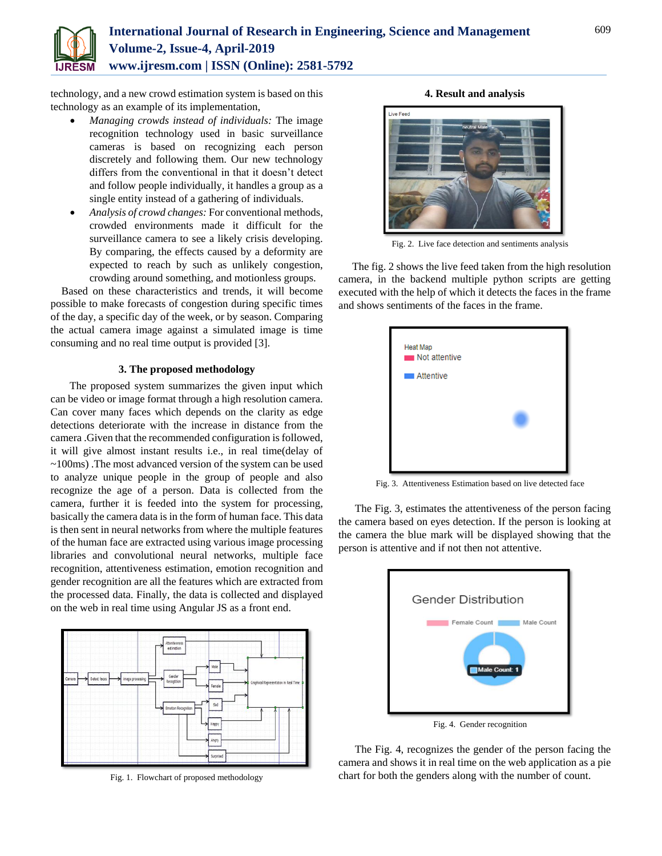

# **International Journal of Research in Engineering, Science and Management Volume-2, Issue-4, April-2019 www.ijresm.com | ISSN (Online): 2581-5792**

technology, and a new crowd estimation system is based on this technology as an example of its implementation,

- *Managing crowds instead of individuals:* The image recognition technology used in basic surveillance cameras is based on recognizing each person discretely and following them. Our new technology differs from the conventional in that it doesn't detect and follow people individually, it handles a group as a single entity instead of a gathering of individuals.
- *Analysis of crowd changes:* For conventional methods, crowded environments made it difficult for the surveillance camera to see a likely crisis developing. By comparing, the effects caused by a deformity are expected to reach by such as unlikely congestion, crowding around something, and motionless groups.

Based on these characteristics and trends, it will become possible to make forecasts of congestion during specific times of the day, a specific day of the week, or by season. Comparing the actual camera image against a simulated image is time consuming and no real time output is provided [3].

### **3. The proposed methodology**

 The proposed system summarizes the given input which can be video or image format through a high resolution camera. Can cover many faces which depends on the clarity as edge detections deteriorate with the increase in distance from the camera .Given that the recommended configuration is followed, it will give almost instant results i.e., in real time(delay of ~100ms) .The most advanced version of the system can be used to analyze unique people in the group of people and also recognize the age of a person. Data is collected from the camera, further it is feeded into the system for processing, basically the camera data is in the form of human face. This data is then sent in neural networks from where the multiple features of the human face are extracted using various image processing libraries and convolutional neural networks, multiple face recognition, attentiveness estimation, emotion recognition and gender recognition are all the features which are extracted from the processed data. Finally, the data is collected and displayed on the web in real time using Angular JS as a front end.



Fig. 1. Flowchart of proposed methodology

**4. Result and analysis**



Fig. 2. Live face detection and sentiments analysis

The fig. 2 shows the live feed taken from the high resolution camera, in the backend multiple python scripts are getting executed with the help of which it detects the faces in the frame and shows sentiments of the faces in the frame.

| <b>Heat Map</b><br>Not attentive |  |
|----------------------------------|--|
| Attentive                        |  |
|                                  |  |
|                                  |  |
|                                  |  |

Fig. 3. Attentiveness Estimation based on live detected face

 The Fig. 3, estimates the attentiveness of the person facing the camera based on eyes detection. If the person is looking at the camera the blue mark will be displayed showing that the person is attentive and if not then not attentive.



 The Fig. 4, recognizes the gender of the person facing the camera and shows it in real time on the web application as a pie

chart for both the genders along with the number of count.